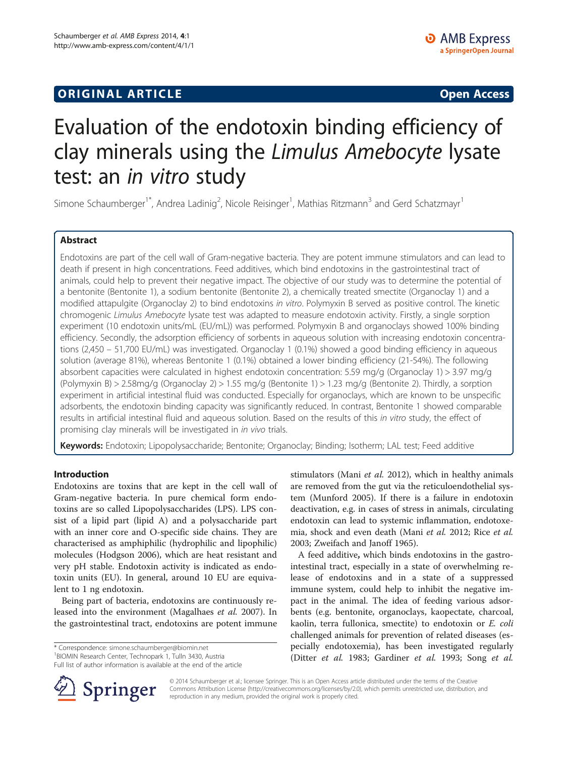## **ORIGINAL ARTICLE CONSUMING A LIGACION CONSUMING A LIGACION CONSUMING A LIGACION**

# Evaluation of the endotoxin binding efficiency of clay minerals using the Limulus Amebocyte lysate test: an in vitro study

Simone Schaumberger<sup>1\*</sup>, Andrea Ladinig<sup>2</sup>, Nicole Reisinger<sup>1</sup>, Mathias Ritzmann<sup>3</sup> and Gerd Schatzmayr<sup>1</sup>

## Abstract

Endotoxins are part of the cell wall of Gram-negative bacteria. They are potent immune stimulators and can lead to death if present in high concentrations. Feed additives, which bind endotoxins in the gastrointestinal tract of animals, could help to prevent their negative impact. The objective of our study was to determine the potential of a bentonite (Bentonite 1), a sodium bentonite (Bentonite 2), a chemically treated smectite (Organoclay 1) and a modified attapulgite (Organoclay 2) to bind endotoxins in vitro. Polymyxin B served as positive control. The kinetic chromogenic Limulus Amebocyte lysate test was adapted to measure endotoxin activity. Firstly, a single sorption experiment (10 endotoxin units/mL (EU/mL)) was performed. Polymyxin B and organoclays showed 100% binding efficiency. Secondly, the adsorption efficiency of sorbents in aqueous solution with increasing endotoxin concentrations (2,450 – 51,700 EU/mL) was investigated. Organoclay 1 (0.1%) showed a good binding efficiency in aqueous solution (average 81%), whereas Bentonite 1 (0.1%) obtained a lower binding efficiency (21-54%). The following absorbent capacities were calculated in highest endotoxin concentration: 5.59 mg/g (Organoclay 1) > 3.97 mg/g (Polymyxin B) > 2.58mg/g (Organoclay 2) > 1.55 mg/g (Bentonite 1) > 1.23 mg/g (Bentonite 2). Thirdly, a sorption experiment in artificial intestinal fluid was conducted. Especially for organoclays, which are known to be unspecific adsorbents, the endotoxin binding capacity was significantly reduced. In contrast, Bentonite 1 showed comparable results in artificial intestinal fluid and aqueous solution. Based on the results of this in vitro study, the effect of promising clay minerals will be investigated in in vivo trials.

Keywords: Endotoxin; Lipopolysaccharide; Bentonite; Organoclay; Binding; Isotherm; LAL test; Feed additive

## Introduction

Endotoxins are toxins that are kept in the cell wall of Gram-negative bacteria. In pure chemical form endotoxins are so called Lipopolysaccharides (LPS). LPS consist of a lipid part (lipid A) and a polysaccharide part with an inner core and O-specific side chains. They are characterised as amphiphilic (hydrophilic and lipophilic) molecules (Hodgson [2006](#page-7-0)), which are heat resistant and very pH stable. Endotoxin activity is indicated as endotoxin units (EU). In general, around 10 EU are equivalent to 1 ng endotoxin.

Being part of bacteria, endotoxins are continuously released into the environment (Magalhaes et al. [2007\)](#page-7-0). In the gastrointestinal tract, endotoxins are potent immune

\* Correspondence: [simone.schaumberger@biomin.net](mailto:simone.schaumberger@biomin.net) <sup>1</sup>

Full list of author information is available at the end of the article

stimulators (Mani et al. [2012](#page-7-0)), which in healthy animals are removed from the gut via the reticuloendothelial system (Munford [2005\)](#page-7-0). If there is a failure in endotoxin deactivation, e.g. in cases of stress in animals, circulating endotoxin can lead to systemic inflammation, endotoxemia, shock and even death (Mani et al. [2012](#page-7-0); Rice et al. [2003](#page-8-0); Zweifach and Janoff [1965](#page-8-0)).

A feed additive, which binds endotoxins in the gastrointestinal tract, especially in a state of overwhelming release of endotoxins and in a state of a suppressed immune system, could help to inhibit the negative impact in the animal. The idea of feeding various adsorbents (e.g. bentonite, organoclays, kaopectate, charcoal, kaolin, terra fullonica, smectite) to endotoxin or E. coli challenged animals for prevention of related diseases (especially endotoxemia), has been investigated regularly (Ditter et al. [1983](#page-7-0); Gardiner et al. [1993;](#page-7-0) Song et al.



© 2014 Schaumberger et al.; licensee Springer. This is an Open Access article distributed under the terms of the Creative Commons Attribution License (<http://creativecommons.org/licenses/by/2.0>), which permits unrestricted use, distribution, and reproduction in any medium, provided the original work is properly cited.

<sup>&</sup>lt;sup>1</sup> BIOMIN Research Center, Technopark 1, Tulln 3430, Austria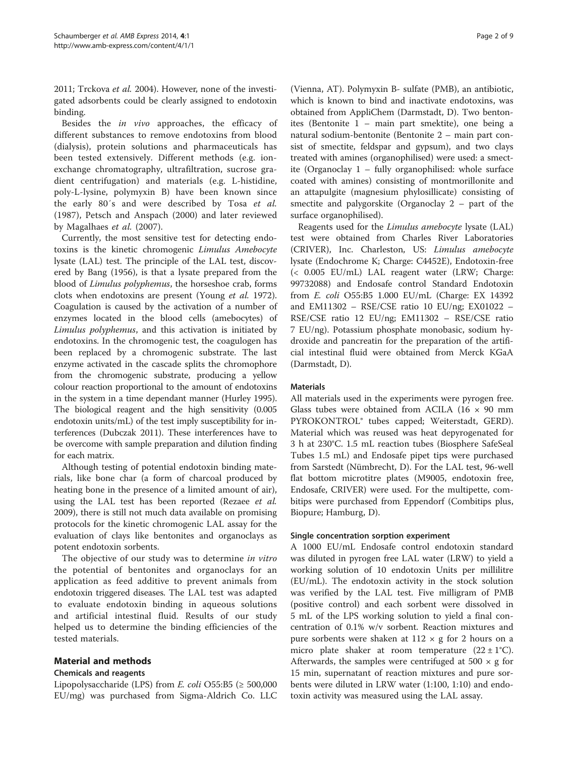[2011](#page-8-0); Trckova et al. [2004](#page-8-0)). However, none of the investigated adsorbents could be clearly assigned to endotoxin binding.

Besides the in vivo approaches, the efficacy of different substances to remove endotoxins from blood (dialysis), protein solutions and pharmaceuticals has been tested extensively. Different methods (e.g. ionexchange chromatography, ultrafiltration, sucrose gradient centrifugation) and materials (e.g. L-histidine, poly-L-lysine, polymyxin B) have been known since the early 80′s and were described by Tosa et al. ([1987\)](#page-8-0), Petsch and Anspach ([2000](#page-8-0)) and later reviewed by Magalhaes et al. [\(2007](#page-7-0)).

Currently, the most sensitive test for detecting endotoxins is the kinetic chromogenic Limulus Amebocyte lysate (LAL) test. The principle of the LAL test, discovered by Bang [\(1956](#page-7-0)), is that a lysate prepared from the blood of Limulus polyphemus, the horseshoe crab, forms clots when endotoxins are present (Young et al. [1972](#page-8-0)). Coagulation is caused by the activation of a number of enzymes located in the blood cells (amebocytes) of Limulus polyphemus, and this activation is initiated by endotoxins. In the chromogenic test, the coagulogen has been replaced by a chromogenic substrate. The last enzyme activated in the cascade splits the chromophore from the chromogenic substrate, producing a yellow colour reaction proportional to the amount of endotoxins in the system in a time dependant manner (Hurley [1995](#page-7-0)). The biological reagent and the high sensitivity (0.005 endotoxin units/mL) of the test imply susceptibility for interferences (Dubczak [2011](#page-7-0)). These interferences have to be overcome with sample preparation and dilution finding for each matrix.

Although testing of potential endotoxin binding materials, like bone char (a form of charcoal produced by heating bone in the presence of a limited amount of air), using the LAL test has been reported (Rezaee *et al.* [2009](#page-8-0)), there is still not much data available on promising protocols for the kinetic chromogenic LAL assay for the evaluation of clays like bentonites and organoclays as potent endotoxin sorbents.

The objective of our study was to determine in vitro the potential of bentonites and organoclays for an application as feed additive to prevent animals from endotoxin triggered diseases. The LAL test was adapted to evaluate endotoxin binding in aqueous solutions and artificial intestinal fluid. Results of our study helped us to determine the binding efficiencies of the tested materials.

## Material and methods

## Chemicals and reagents

Lipopolysaccharide (LPS) from *E. coli* O55:B5 ( $\geq$  500,000 EU/mg) was purchased from Sigma-Aldrich Co. LLC

(Vienna, AT). Polymyxin B- sulfate (PMB), an antibiotic, which is known to bind and inactivate endotoxins, was obtained from AppliChem (Darmstadt, D). Two bentonites (Bentonite 1 – main part smektite), one being a natural sodium-bentonite (Bentonite 2 – main part consist of smectite, feldspar and gypsum), and two clays treated with amines (organophilised) were used: a smectite (Organoclay 1 – fully organophilised: whole surface coated with amines) consisting of montmorillonite and an attapulgite (magnesium phylosillicate) consisting of smectite and palygorskite (Organoclay 2 – part of the surface organophilised).

Reagents used for the Limulus amebocyte lysate (LAL) test were obtained from Charles River Laboratories (CRIVER), Inc. Charleston, US: Limulus amebocyte lysate (Endochrome K; Charge: C4452E), Endotoxin-free (< 0.005 EU/mL) LAL reagent water (LRW; Charge: 99732088) and Endosafe control Standard Endotoxin from E. coli O55:B5 1.000 EU/mL (Charge: EX 14392 and EM11302 – RSE/CSE ratio 10 EU/ng; EX01022 – RSE/CSE ratio 12 EU/ng; EM11302 – RSE/CSE ratio 7 EU/ng). Potassium phosphate monobasic, sodium hydroxide and pancreatin for the preparation of the artificial intestinal fluid were obtained from Merck KGaA (Darmstadt, D).

## **Materials**

All materials used in the experiments were pyrogen free. Glass tubes were obtained from ACILA (16  $\times$  90 mm PYROKONTROL® tubes capped; Weiterstadt, GERD). Material which was reused was heat depyrogenated for 3 h at 230°C. 1.5 mL reaction tubes (Biosphere SafeSeal Tubes 1.5 mL) and Endosafe pipet tips were purchased from Sarstedt (Nümbrecht, D). For the LAL test, 96-well flat bottom microtitre plates (M9005, endotoxin free, Endosafe, CRIVER) were used. For the multipette, combitips were purchased from Eppendorf (Combitips plus, Biopure; Hamburg, D).

## Single concentration sorption experiment

A 1000 EU/mL Endosafe control endotoxin standard was diluted in pyrogen free LAL water (LRW) to yield a working solution of 10 endotoxin Units per millilitre (EU/mL). The endotoxin activity in the stock solution was verified by the LAL test. Five milligram of PMB (positive control) and each sorbent were dissolved in 5 mL of the LPS working solution to yield a final concentration of 0.1% w/v sorbent. Reaction mixtures and pure sorbents were shaken at  $112 \times g$  for 2 hours on a micro plate shaker at room temperature  $(22 \pm 1^{\circ}C)$ . Afterwards, the samples were centrifuged at 500  $\times$  g for 15 min, supernatant of reaction mixtures and pure sorbents were diluted in LRW water (1:100, 1:10) and endotoxin activity was measured using the LAL assay.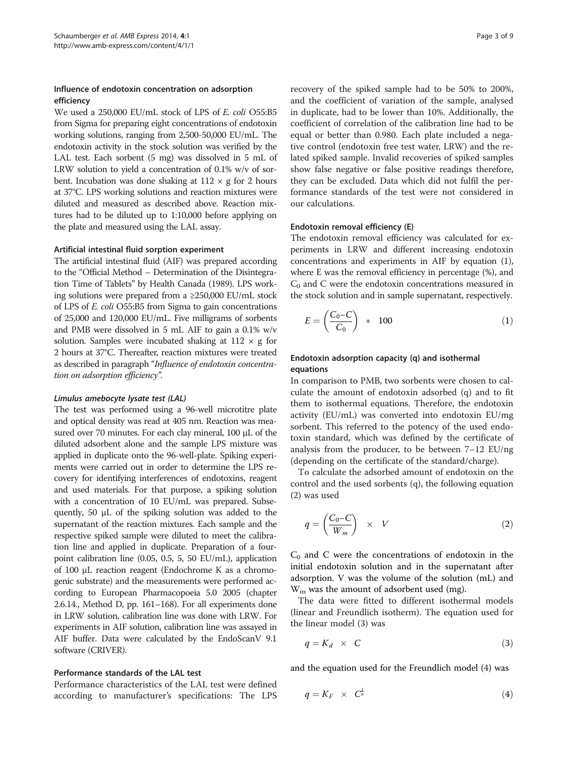## Influence of endotoxin concentration on adsorption efficiency

We used a 250,000 EU/mL stock of LPS of E. coli O55:B5 from Sigma for preparing eight concentrations of endotoxin working solutions, ranging from 2,500-50,000 EU/mL. The endotoxin activity in the stock solution was verified by the LAL test. Each sorbent (5 mg) was dissolved in 5 mL of LRW solution to yield a concentration of 0.1% w/v of sorbent. Incubation was done shaking at  $112 \times g$  for 2 hours at 37°C. LPS working solutions and reaction mixtures were diluted and measured as described above. Reaction mixtures had to be diluted up to 1:10,000 before applying on the plate and measured using the LAL assay.

#### Artificial intestinal fluid sorption experiment

The artificial intestinal fluid (AIF) was prepared according to the "Official Method – Determination of the Disintegration Time of Tablets" by Health Canada ([1989\)](#page-7-0). LPS working solutions were prepared from a ≥250,000 EU/mL stock of LPS of E. coli O55:B5 from Sigma to gain concentrations of 25,000 and 120,000 EU/mL. Five milligrams of sorbents and PMB were dissolved in 5 mL AIF to gain a 0.1% w/v solution. Samples were incubated shaking at  $112 \times g$  for 2 hours at 37°C. Thereafter, reaction mixtures were treated as described in paragraph "Influence of endotoxin concentration on adsorption efficiency".

#### Limulus amebocyte lysate test (LAL)

The test was performed using a 96-well microtitre plate and optical density was read at 405 nm. Reaction was measured over 70 minutes. For each clay mineral, 100 μL of the diluted adsorbent alone and the sample LPS mixture was applied in duplicate onto the 96-well-plate. Spiking experiments were carried out in order to determine the LPS recovery for identifying interferences of endotoxins, reagent and used materials. For that purpose, a spiking solution with a concentration of 10 EU/mL was prepared. Subsequently, 50 μL of the spiking solution was added to the supernatant of the reaction mixtures. Each sample and the respective spiked sample were diluted to meet the calibration line and applied in duplicate. Preparation of a fourpoint calibration line (0.05, 0.5, 5, 50 EU/mL), application of 100 μL reaction reagent (Endochrome K as a chromogenic substrate) and the measurements were performed according to European Pharmacopoeia 5.0 2005 (chapter 2.6.14., Method D, pp. 161–168). For all experiments done in LRW solution, calibration line was done with LRW. For experiments in AIF solution, calibration line was assayed in AIF buffer. Data were calculated by the EndoScanV 9.1 software (CRIVER).

#### Performance standards of the LAL test

Performance characteristics of the LAL test were defined according to manufacturer's specifications: The LPS recovery of the spiked sample had to be 50% to 200%, and the coefficient of variation of the sample, analysed in duplicate, had to be lower than 10%. Additionally, the coefficient of correlation of the calibration line had to be equal or better than 0.980. Each plate included a negative control (endotoxin free test water, LRW) and the related spiked sample. Invalid recoveries of spiked samples show false negative or false positive readings therefore, they can be excluded. Data which did not fulfil the performance standards of the test were not considered in our calculations.

#### Endotoxin removal efficiency (E)

The endotoxin removal efficiency was calculated for experiments in LRW and different increasing endotoxin concentrations and experiments in AIF by equation (1), where E was the removal efficiency in percentage (%), and  $C_0$  and C were the endotoxin concentrations measured in the stock solution and in sample supernatant, respectively.

$$
E = \left(\frac{C_0 - C}{C_0}\right) * 100\tag{1}
$$

## Endotoxin adsorption capacity (q) and isothermal equations

In comparison to PMB, two sorbents were chosen to calculate the amount of endotoxin adsorbed (q) and to fit them to isothermal equations. Therefore, the endotoxin activity (EU/mL) was converted into endotoxin EU/mg sorbent. This referred to the potency of the used endotoxin standard, which was defined by the certificate of analysis from the producer, to be between 7–12 EU/ng (depending on the certificate of the standard/charge).

To calculate the adsorbed amount of endotoxin on the control and the used sorbents (q), the following equation (2) was used

$$
q = \left(\frac{C_0 - C}{W_m}\right) \times V \tag{2}
$$

 $C_0$  and C were the concentrations of endotoxin in the initial endotoxin solution and in the supernatant after adsorption. V was the volume of the solution (mL) and  $W_m$  was the amount of adsorbent used (mg).

The data were fitted to different isothermal models (linear and Freundlich isotherm). The equation used for the linear model (3) was

$$
q = K_d \times C \tag{3}
$$

and the equation used for the Freundlich model (4) was

$$
q = K_F \times C^{\frac{1}{n}} \tag{4}
$$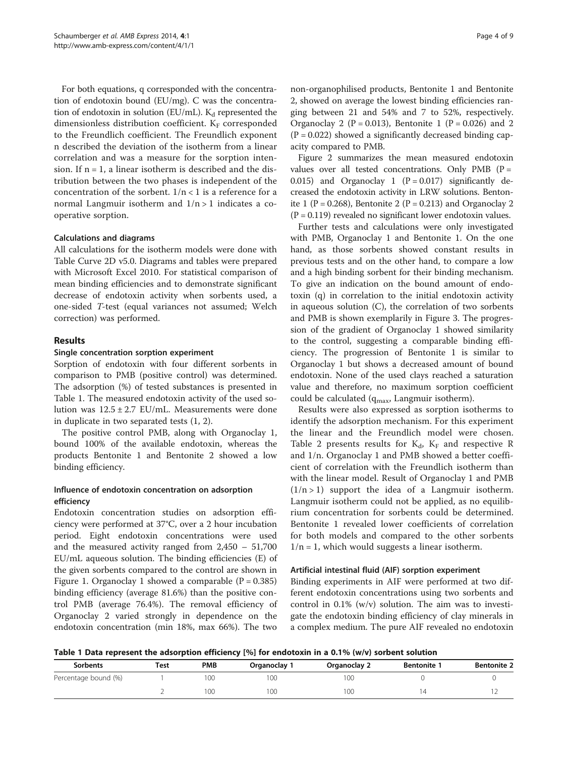For both equations, q corresponded with the concentration of endotoxin bound (EU/mg). C was the concentration of endotoxin in solution (EU/mL).  $K_d$  represented the dimensionless distribution coefficient.  $K_F$  corresponded to the Freundlich coefficient. The Freundlich exponent n described the deviation of the isotherm from a linear correlation and was a measure for the sorption intension. If  $n = 1$ , a linear isotherm is described and the distribution between the two phases is independent of the concentration of the sorbent.  $1/n < 1$  is a reference for a normal Langmuir isotherm and  $1/n > 1$  indicates a cooperative sorption.

#### Calculations and diagrams

All calculations for the isotherm models were done with Table Curve 2D v5.0. Diagrams and tables were prepared with Microsoft Excel 2010. For statistical comparison of mean binding efficiencies and to demonstrate significant decrease of endotoxin activity when sorbents used, a one-sided T-test (equal variances not assumed; Welch correction) was performed.

## Results

#### Single concentration sorption experiment

Sorption of endotoxin with four different sorbents in comparison to PMB (positive control) was determined. The adsorption (%) of tested substances is presented in Table 1. The measured endotoxin activity of the used solution was  $12.5 \pm 2.7$  EU/mL. Measurements were done in duplicate in two separated tests (1, 2).

The positive control PMB, along with Organoclay 1, bound 100% of the available endotoxin, whereas the products Bentonite 1 and Bentonite 2 showed a low binding efficiency.

## Influence of endotoxin concentration on adsorption efficiency

Endotoxin concentration studies on adsorption efficiency were performed at 37°C, over a 2 hour incubation period. Eight endotoxin concentrations were used and the measured activity ranged from 2,450 – 51,700 EU/mL aqueous solution. The binding efficiencies (E) of the given sorbents compared to the control are shown in Figure [1.](#page-4-0) Organoclay 1 showed a comparable  $(P = 0.385)$ binding efficiency (average 81.6%) than the positive control PMB (average 76.4%). The removal efficiency of Organoclay 2 varied strongly in dependence on the endotoxin concentration (min 18%, max 66%). The two non-organophilised products, Bentonite 1 and Bentonite 2, showed on average the lowest binding efficiencies ranging between 21 and 54% and 7 to 52%, respectively. Organoclay 2 ( $P = 0.013$ ), Bentonite 1 ( $P = 0.026$ ) and 2  $(P = 0.022)$  showed a significantly decreased binding capacity compared to PMB.

Figure [2](#page-4-0) summarizes the mean measured endotoxin values over all tested concentrations. Only PMB ( $P =$ 0.015) and Organoclay 1  $(P = 0.017)$  significantly decreased the endotoxin activity in LRW solutions. Bentonite 1 (P = 0.268), Bentonite 2 (P = 0.213) and Organoclay 2  $(P = 0.119)$  revealed no significant lower endotoxin values.

Further tests and calculations were only investigated with PMB, Organoclay 1 and Bentonite 1. On the one hand, as those sorbents showed constant results in previous tests and on the other hand, to compare a low and a high binding sorbent for their binding mechanism. To give an indication on the bound amount of endotoxin (q) in correlation to the initial endotoxin activity in aqueous solution (C), the correlation of two sorbents and PMB is shown exemplarily in Figure [3.](#page-5-0) The progression of the gradient of Organoclay 1 showed similarity to the control, suggesting a comparable binding efficiency. The progression of Bentonite 1 is similar to Organoclay 1 but shows a decreased amount of bound endotoxin. None of the used clays reached a saturation value and therefore, no maximum sorption coefficient could be calculated ( $q_{\text{max}}$ , Langmuir isotherm).

Results were also expressed as sorption isotherms to identify the adsorption mechanism. For this experiment the linear and the Freundlich model were chosen. Table [2](#page-5-0) presents results for  $K_d$ ,  $K_F$  and respective R and 1/n. Organoclay 1 and PMB showed a better coefficient of correlation with the Freundlich isotherm than with the linear model. Result of Organoclay 1 and PMB  $(1/n > 1)$  support the idea of a Langmuir isotherm. Langmuir isotherm could not be applied, as no equilibrium concentration for sorbents could be determined. Bentonite 1 revealed lower coefficients of correlation for both models and compared to the other sorbents  $1/n = 1$ , which would suggests a linear isotherm.

#### Artificial intestinal fluid (AIF) sorption experiment

Binding experiments in AIF were performed at two different endotoxin concentrations using two sorbents and control in 0.1% (w/v) solution. The aim was to investigate the endotoxin binding efficiency of clay minerals in a complex medium. The pure AIF revealed no endotoxin

Table 1 Data represent the adsorption efficiency [%] for endotoxin in a 0.1% (w/v) sorbent solution

|                      | ___<br>__ |            |            |              |                    |                    |
|----------------------|-----------|------------|------------|--------------|--------------------|--------------------|
| <b>Sorbents</b>      | Test      | <b>PMB</b> | Organoclay | Organoclay 2 | <b>Bentonite</b> 1 | <b>Bentonite 2</b> |
| Percentage bound (%) |           | 00         | 100        | 100          |                    |                    |
|                      |           | 00         | 100        | 100          | Δ                  |                    |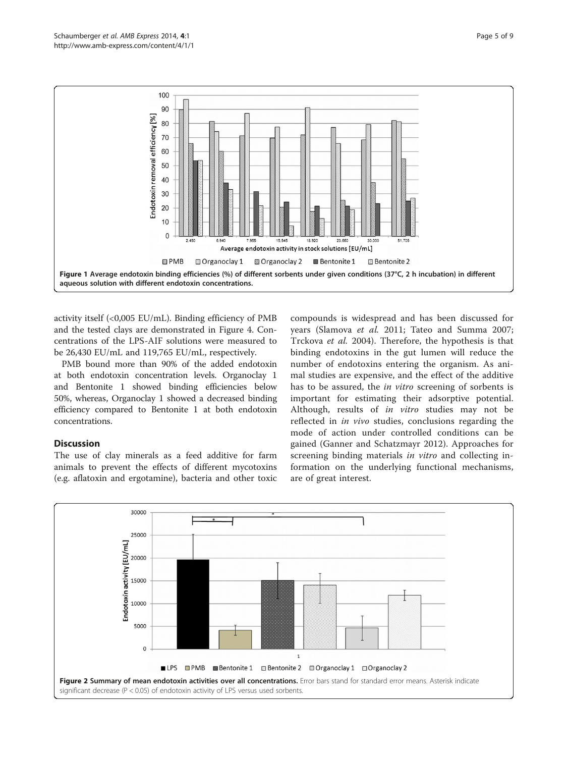<span id="page-4-0"></span>

activity itself  $\langle$ <0,005 EU/mL). Binding efficiency of PMB and the tested clays are demonstrated in Figure [4](#page-6-0). Concentrations of the LPS-AIF solutions were measured to be 26,430 EU/mL and 119,765 EU/mL, respectively.

PMB bound more than 90% of the added endotoxin at both endotoxin concentration levels. Organoclay 1 and Bentonite 1 showed binding efficiencies below 50%, whereas, Organoclay 1 showed a decreased binding efficiency compared to Bentonite 1 at both endotoxin concentrations.

## **Discussion**

The use of clay minerals as a feed additive for farm animals to prevent the effects of different mycotoxins (e.g. aflatoxin and ergotamine), bacteria and other toxic

compounds is widespread and has been discussed for years (Slamova et al. [2011](#page-8-0); Tateo and Summa [2007](#page-8-0); Trckova et al. [2004](#page-8-0)). Therefore, the hypothesis is that binding endotoxins in the gut lumen will reduce the number of endotoxins entering the organism. As animal studies are expensive, and the effect of the additive has to be assured, the in vitro screening of sorbents is important for estimating their adsorptive potential. Although, results of in vitro studies may not be reflected in in vivo studies, conclusions regarding the mode of action under controlled conditions can be gained (Ganner and Schatzmayr [2012\)](#page-7-0). Approaches for screening binding materials *in vitro* and collecting information on the underlying functional mechanisms, are of great interest.

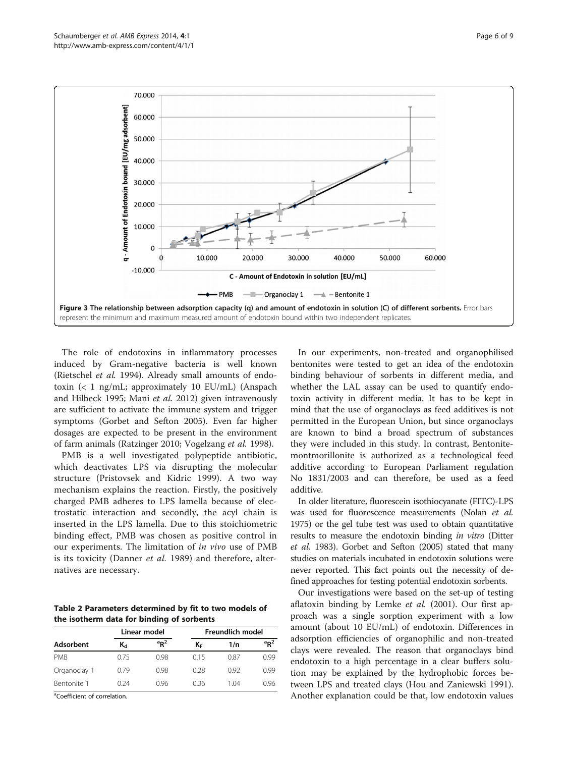<span id="page-5-0"></span>

The role of endotoxins in inflammatory processes induced by Gram-negative bacteria is well known (Rietschel et al. [1994](#page-8-0)). Already small amounts of endotoxin (< 1 ng/mL; approximately 10 EU/mL) (Anspach and Hilbeck [1995;](#page-7-0) Mani et al. [2012](#page-7-0)) given intravenously are sufficient to activate the immune system and trigger symptoms (Gorbet and Sefton [2005\)](#page-7-0). Even far higher dosages are expected to be present in the environment of farm animals (Ratzinger [2010](#page-8-0); Vogelzang et al. [1998\)](#page-8-0).

PMB is a well investigated polypeptide antibiotic, which deactivates LPS via disrupting the molecular structure (Pristovsek and Kidric [1999](#page-8-0)). A two way mechanism explains the reaction. Firstly, the positively charged PMB adheres to LPS lamella because of electrostatic interaction and secondly, the acyl chain is inserted in the LPS lamella. Due to this stoichiometric binding effect, PMB was chosen as positive control in our experiments. The limitation of in vivo use of PMB is its toxicity (Danner *et al.* [1989\)](#page-7-0) and therefore, alternatives are necessary.

Table 2 Parameters determined by fit to two models of the isotherm data for binding of sorbents

| Adsorbent    |             | Linear model         | <b>Freundlich model</b> |      |                      |  |
|--------------|-------------|----------------------|-------------------------|------|----------------------|--|
|              | $K_{\rm d}$ | $a_{R}$ <sup>2</sup> | ΚF                      | 1/n  | $a_{R}$ <sup>2</sup> |  |
| <b>PMB</b>   | 0.75        | 0.98                 | 0.15                    | 0.87 | 0.99                 |  |
| Organoclay 1 | 0.79        | 0.98                 | 0.28                    | 0.92 | 0.99                 |  |
| Bentonite 1  | 0.24        | 0.96                 | 036                     | 1 04 | 0.96                 |  |

<sup>a</sup>Coefficient of correlation.

In our experiments, non-treated and organophilised bentonites were tested to get an idea of the endotoxin binding behaviour of sorbents in different media, and whether the LAL assay can be used to quantify endotoxin activity in different media. It has to be kept in mind that the use of organoclays as feed additives is not permitted in the European Union, but since organoclays are known to bind a broad spectrum of substances they were included in this study. In contrast, Bentonitemontmorillonite is authorized as a technological feed additive according to European Parliament regulation No 1831/2003 and can therefore, be used as a feed additive.

In older literature, fluorescein isothiocyanate (FITC)-LPS was used for fluorescence measurements (Nolan et al. [1975\)](#page-7-0) or the gel tube test was used to obtain quantitative results to measure the endotoxin binding in vitro (Ditter et al. [1983](#page-7-0)). Gorbet and Sefton ([2005\)](#page-7-0) stated that many studies on materials incubated in endotoxin solutions were never reported. This fact points out the necessity of defined approaches for testing potential endotoxin sorbents.

Our investigations were based on the set-up of testing aflatoxin binding by Lemke et al. ([2001](#page-7-0)). Our first approach was a single sorption experiment with a low amount (about 10 EU/mL) of endotoxin. Differences in adsorption efficiencies of organophilic and non-treated clays were revealed. The reason that organoclays bind endotoxin to a high percentage in a clear buffers solution may be explained by the hydrophobic forces between LPS and treated clays (Hou and Zaniewski [1991](#page-7-0)). Another explanation could be that, low endotoxin values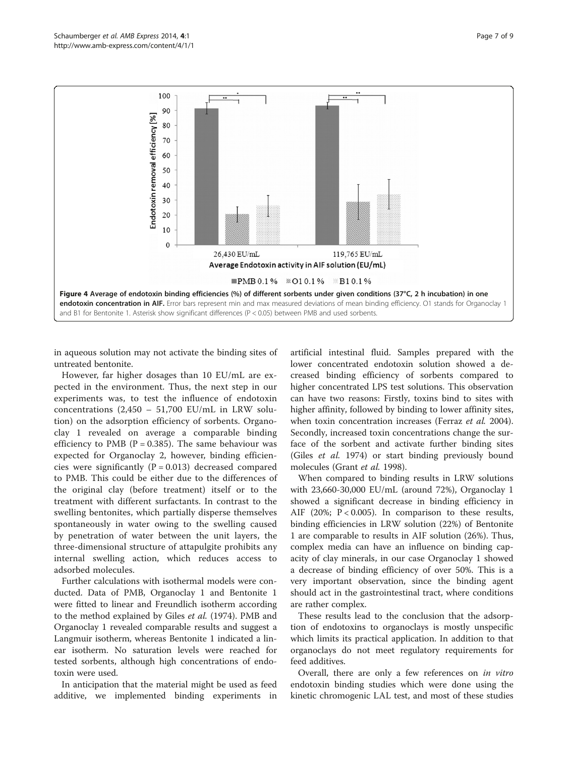<span id="page-6-0"></span>

in aqueous solution may not activate the binding sites of untreated bentonite.

However, far higher dosages than 10 EU/mL are expected in the environment. Thus, the next step in our experiments was, to test the influence of endotoxin concentrations  $(2,450 - 51,700$  EU/mL in LRW solution) on the adsorption efficiency of sorbents. Organoclay 1 revealed on average a comparable binding efficiency to PMB ( $P = 0.385$ ). The same behaviour was expected for Organoclay 2, however, binding efficiencies were significantly  $(P = 0.013)$  decreased compared to PMB. This could be either due to the differences of the original clay (before treatment) itself or to the treatment with different surfactants. In contrast to the swelling bentonites, which partially disperse themselves spontaneously in water owing to the swelling caused by penetration of water between the unit layers, the three-dimensional structure of attapulgite prohibits any internal swelling action, which reduces access to adsorbed molecules.

Further calculations with isothermal models were conducted. Data of PMB, Organoclay 1 and Bentonite 1 were fitted to linear and Freundlich isotherm according to the method explained by Giles et al. ([1974](#page-7-0)). PMB and Organoclay 1 revealed comparable results and suggest a Langmuir isotherm, whereas Bentonite 1 indicated a linear isotherm. No saturation levels were reached for tested sorbents, although high concentrations of endotoxin were used.

In anticipation that the material might be used as feed additive, we implemented binding experiments in

artificial intestinal fluid. Samples prepared with the lower concentrated endotoxin solution showed a decreased binding efficiency of sorbents compared to higher concentrated LPS test solutions. This observation can have two reasons: Firstly, toxins bind to sites with higher affinity, followed by binding to lower affinity sites, when toxin concentration increases (Ferraz et al. [2004](#page-7-0)). Secondly, increased toxin concentrations change the surface of the sorbent and activate further binding sites (Giles et al. [1974](#page-7-0)) or start binding previously bound molecules (Grant et al. [1998\)](#page-7-0).

When compared to binding results in LRW solutions with 23,660-30,000 EU/mL (around 72%), Organoclay 1 showed a significant decrease in binding efficiency in AIF (20%;  $P < 0.005$ ). In comparison to these results, binding efficiencies in LRW solution (22%) of Bentonite 1 are comparable to results in AIF solution (26%). Thus, complex media can have an influence on binding capacity of clay minerals, in our case Organoclay 1 showed a decrease of binding efficiency of over 50%. This is a very important observation, since the binding agent should act in the gastrointestinal tract, where conditions are rather complex.

These results lead to the conclusion that the adsorption of endotoxins to organoclays is mostly unspecific which limits its practical application. In addition to that organoclays do not meet regulatory requirements for feed additives.

Overall, there are only a few references on in vitro endotoxin binding studies which were done using the kinetic chromogenic LAL test, and most of these studies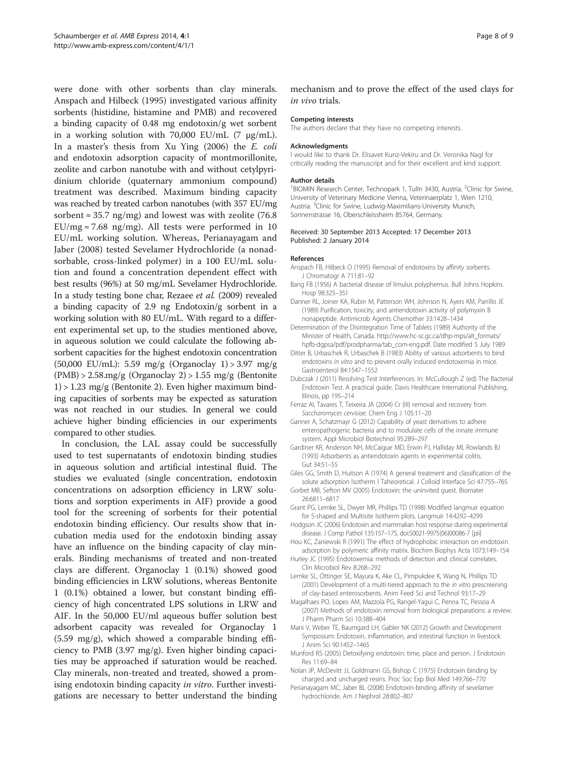<span id="page-7-0"></span>were done with other sorbents than clay minerals. Anspach and Hilbeck (1995) investigated various affinity sorbents (histidine, histamine and PMB) and recovered a binding capacity of 0.48 mg endotoxin/g wet sorbent in a working solution with 70,000 EU/mL  $(7 \mu g/mL)$ . In a master's thesis from Xu Ying ([2006](#page-8-0)) the E. coli and endotoxin adsorption capacity of montmorillonite, zeolite and carbon nanotube with and without cetylpyridinium chloride (quaternary ammonium compound) treatment was described. Maximum binding capacity was reached by treated carbon nanotubes (with 357 EU/mg sorbent  $\approx$  35.7 ng/mg) and lowest was with zeolite (76.8 EU/mg  $\approx$  7.68 ng/mg). All tests were performed in 10 EU/mL working solution. Whereas, Perianayagam and Jaber (2008) tested Sevelamer Hydrochloride (a nonadsorbable, cross-linked polymer) in a 100 EU/mL solution and found a concentration dependent effect with best results (96%) at 50 mg/mL Sevelamer Hydrochloride. In a study testing bone char, Rezaee et al. [\(2009](#page-8-0)) revealed a binding capacity of 2.9 ng Endotoxin/g sorbent in a working solution with 80 EU/mL. With regard to a different experimental set up, to the studies mentioned above, in aqueous solution we could calculate the following absorbent capacities for the highest endotoxin concentration (50,000 EU/mL): 5.59 mg/g (Organoclay 1) > 3.97 mg/g  $(PMB) > 2.58$ .mg/g  $(Organoclav 2) > 1.55$  mg/g (Bentonite 1) > 1.23 mg/g (Bentonite 2). Even higher maximum binding capacities of sorbents may be expected as saturation was not reached in our studies. In general we could achieve higher binding efficiencies in our experiments compared to other studies.

In conclusion, the LAL assay could be successfully used to test supernatants of endotoxin binding studies in aqueous solution and artificial intestinal fluid. The studies we evaluated (single concentration, endotoxin concentrations on adsorption efficiency in LRW solutions and sorption experiments in AIF) provide a good tool for the screening of sorbents for their potential endotoxin binding efficiency. Our results show that incubation media used for the endotoxin binding assay have an influence on the binding capacity of clay minerals. Binding mechanisms of treated and non-treated clays are different. Organoclay 1 (0.1%) showed good binding efficiencies in LRW solutions, whereas Bentonite 1 (0.1%) obtained a lower, but constant binding efficiency of high concentrated LPS solutions in LRW and AIF. In the 50,000 EU/ml aqueous buffer solution best adsorbent capacity was revealed for Organoclay 1 (5.59 mg/g), which showed a comparable binding efficiency to PMB (3.97 mg/g). Even higher binding capacities may be approached if saturation would be reached. Clay minerals, non-treated and treated, showed a promising endotoxin binding capacity in vitro. Further investigations are necessary to better understand the binding

mechanism and to prove the effect of the used clays for in vivo trials.

#### Competing interests

The authors declare that they have no competing interests.

#### Acknowledgments

I would like to thank Dr. Elisavet Kunz-Vekiru and Dr. Veronika Nagl for critically reading the manuscript and for their excellent and kind support.

#### Author details

<sup>1</sup>BIOMIN Research Center, Technopark 1, Tulln 3430, Austria. <sup>2</sup>Clinic for Swine University of Veterinary Medicine Vienna, Veterinaerplatz 1, Wien 1210, Austria. <sup>3</sup>Clinic for Swine, Ludwig-Maximilians-University Munich Sonnenstrasse 16, Oberschleissheim 85764, Germany.

#### Received: 30 September 2013 Accepted: 17 December 2013 Published: 2 January 2014

#### References

- Anspach FB, Hilbeck O (1995) Removal of endotoxins by affinity sorbents. J Chromatogr A 711:81–92
- Bang FB (1956) A bacterial disease of limulus polyphemus. Bull Johns Hopkins Hosp 98:325–351
- Danner RL, Joiner KA, Rubin M, Patterson WH, Johnson N, Ayers KM, Parrillo JE (1989) Purification, toxicity, and antiendotoxin activity of polymyxin B nonapeptide. Antimicrob Agents Chemother 33:1428–1434
- Determination of the Disintegration Time of Tablets (1989) Authority of the Minister of Health, Canada. [http://www.hc-sc.gc.ca/dhp-mps/alt\\_formats/](http://www.hc-sc.gc.ca/dhp-mps/alt_formats/hpfb-dgpsa/pdf/prodpharma/tab_com-eng.pdf) [hpfb-dgpsa/pdf/prodpharma/tab\\_com-eng.pdf](http://www.hc-sc.gc.ca/dhp-mps/alt_formats/hpfb-dgpsa/pdf/prodpharma/tab_com-eng.pdf). Date modified 5 July 1989
- Ditter B, Urbaschek R, Urbaschek B (1983) Ability of various adsorbents to bind endotoxins in vitro and to prevent orally induced endotoxemia in mice. Gastroenterol 84:1547–1552
- Dubczak J (2011) Resolving Test Interferences. In: McCullough Z (ed) The Bacterial Endotoxin Test. A practical guide. Davis Healthcare International Publishing, Illinois, pp 195–214
- Ferraz AI, Tavares T, Teixeira JA (2004) Cr (III) removal and recovery from Saccharomyces cervisiae. Chem Eng J 105:11–20
- Ganner A, Schatzmayr G (2012) Capability of yeast derivatives to adhere enteropathogenic bacteria and to modulate cells of the innate immune system. Appl Microbiol Biotechnol 95:289–297
- Gardiner KR, Anderson NH, McCaigue MD, Erwin PJ, Halliday MI, Rowlands BJ (1993) Adsorbents as antiendotoxin agents in experimental colitis. Gut 34:51–55
- Giles GG, Smith D, Huitson A (1974) A general treatment and classification of the solute adsorption Isotherm I Taheoretical. J Colloid Interface Sci 47:755–765
- Gorbet MB, Sefton MV (2005) Endotoxin: the uninvited guest. Biomater 26:6811–6817
- Grant PG, Lemke SL, Dwyer MR, Phillips TD (1998) Modified langmuir equation for S-shaped and Multisite Isotherm plots. Langmuir 14:4292–4299
- Hodgson JC (2006) Endotoxin and mammalian host response during experimental disease. J Comp Pathol 135:157–175, doi:S0021-9975(06)00086-7 [pii]
- Hou KC, Zaniewski R (1991) The effect of hydrophobic interaction on endotoxin adsorption by polymeric affinity matrix. Biochim Biophys Acta 1073:149–154
- Hurley JC (1995) Endotoxemia: methods of detection and clinical correlates. Clin Microbiol Rev 8:268–292
- Lemke SL, Ottinger SE, Mayura K, Ake CL, Pimpukdee K, Wang N, Phillips TD (2001) Development of a multi-tiered approach to the in vitro prescreening of clay-based enterosorbents. Anim Feed Sci and Technol 93:17–29
- Magalhaes PO, Lopes AM, Mazzola PG, Rangel-Yagui C, Penna TC, Pessoa A (2007) Methods of endotoxin removal from biological preparations: a review. J Pharm Pharm Sci 10:388–404
- Mani V, Weber TE, Baumgard LH, Gabler NK (2012) Growth and Development Symposium: Endotoxin, inflammation, and intestinal function in livestock. J Anim Sci 90:1452–1465
- Munford RS (2005) Detoxifying endotoxin: time, place and person. J Endotoxin Res 11:69–84
- Nolan JP, McDevitt JJ, Goldmann GS, Bishop C (1975) Endotoxin binding by charged and uncharged resins. Proc Soc Exp Biol Med 149:766–770
- Perianayagam MC, Jaber BL (2008) Endotoxin-binding affinity of sevelamer hydrochloride. Am J Nephrol 28:802–807